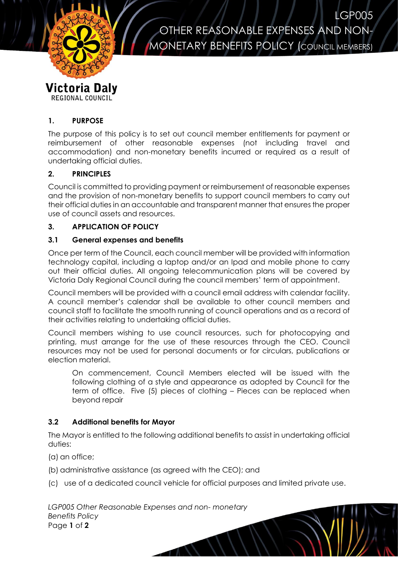

OTHER REASONABLE EXPENSES AND NON-**MONETARY BENEFITS POLICY (COUNCIL MEMBERS)** 

LGP005

# **1. PURPOSE**

REGIONAL COUNCIL

The purpose of this policy is to set out council member entitlements for payment or reimbursement of other reasonable expenses (not including travel and accommodation) and non-monetary benefits incurred or required as a result of undertaking official duties.

# **2. PRINCIPLES**

Council is committed to providing payment or reimbursement of reasonable expenses and the provision of non-monetary benefits to support council members to carry out their official duties in an accountable and transparent manner that ensures the proper use of council assets and resources.

# **3. APPLICATION OF POLICY**

### **3.1 General expenses and benefits**

Once per term of the Council, each council member will be provided with information technology capital, including a laptop and/or an Ipad and mobile phone to carry out their official duties. All ongoing telecommunication plans will be covered by Victoria Daly Regional Council during the council members' term of appointment.

Council members will be provided with a council email address with calendar facility. A council member's calendar shall be available to other council members and council staff to facilitate the smooth running of council operations and as a record of their activities relating to undertaking official duties.

Council members wishing to use council resources, such for photocopying and printing, must arrange for the use of these resources through the CEO. Council resources may not be used for personal documents or for circulars, publications or election material.

On commencement, Council Members elected will be issued with the following clothing of a style and appearance as adopted by Council for the term of office. Five (5) pieces of clothing – Pieces can be replaced when beyond repair

### **3.2 Additional benefits for Mayor**

The Mayor is entitled to the following additional benefits to assist in undertaking official duties:

(a) an office;

(b) administrative assistance (as agreed with the CEO); and

(c) use of a dedicated council vehicle for official purposes and limited private use.

 $\mathcal{N}$ 

*LGP005 Other Reasonable Expenses and non- monetary Benefits Policy* Page **1** of **2**